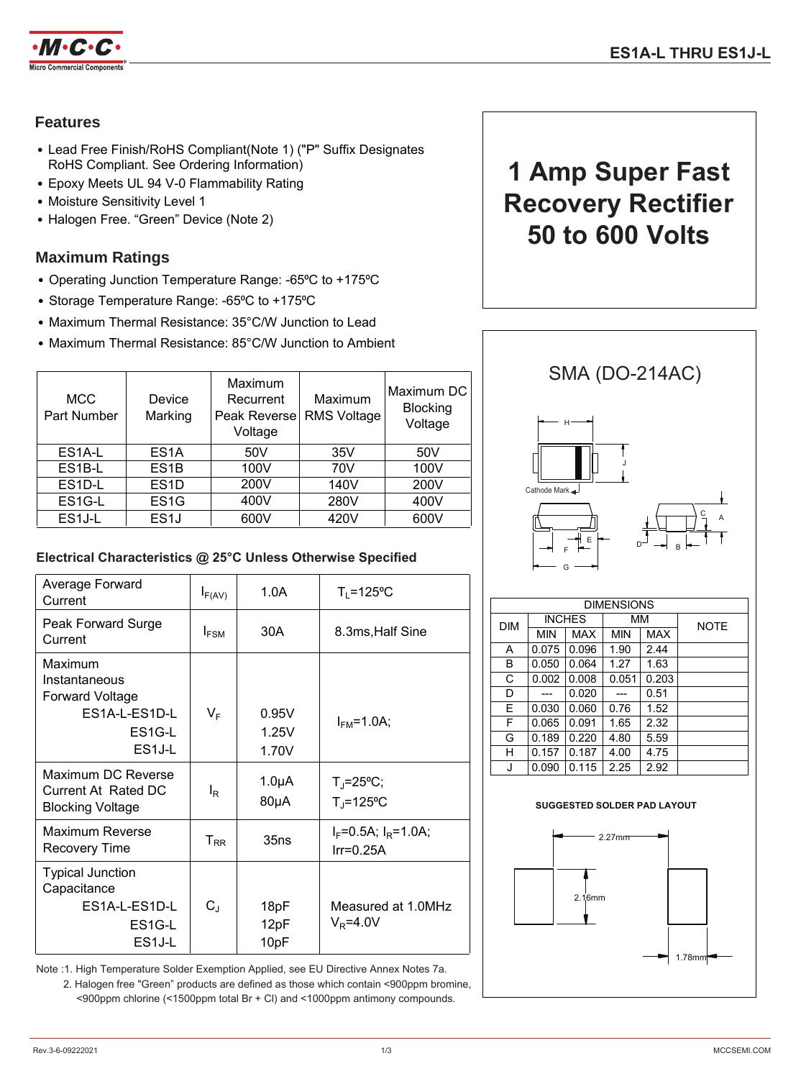

# **Features**

- Lead Free Finish/RoHS Compliant(Note 1) ("P" Suffix Designates RoHS Compliant. See Ordering Information)
- Epoxy Meets UL 94 V-0 Flammability Rating
- Moisture Sensitivity Level 1
- Halogen Free. "Green" Device (Note 2)

# **Maximum Ratings**

- Operating Junction Temperature Range: -65°C to +175°C
- Storage Temperature Range: -65°C to +175°C
- Maximum Thermal Resistance: 35°C/W Junction to Lead
- Maximum Thermal Resistance: 85°C/W Junction to Ambient

| <b>MCC</b><br>Part Number | Device<br>Marking | Maximum<br>Recurrent<br>Peak Reverse<br>Voltage | Maximum<br><b>RMS Voltage</b> | Maximum DC<br><b>Blocking</b><br>Voltage |
|---------------------------|-------------------|-------------------------------------------------|-------------------------------|------------------------------------------|
| ES <sub>1</sub> A-L       | ES <sub>1</sub> A | 50 <sub>V</sub>                                 | 35V                           | 50V                                      |
| ES1B-L                    | ES <sub>1</sub> B | 100V                                            | 70V                           | 100V                                     |
| ES1D-L                    | ES <sub>1</sub> D | 200V                                            | 140V                          | 200V                                     |
| ES1G-L                    | ES <sub>1</sub> G | 400V                                            | 280V                          | 400V                                     |
| ES <sub>1</sub> J-L       | ES <sub>1</sub> J | 600V                                            | 420V                          | 600V                                     |

### **Electrical Characteristics @ 25°C Unless Otherwise Specified**

| Average Forward<br>Current                                                                           | $I_{F(AV)}$             | 1.0A                            | $T_1 = 125$ °C                                    |
|------------------------------------------------------------------------------------------------------|-------------------------|---------------------------------|---------------------------------------------------|
| Peak Forward Surge<br>Current                                                                        | $I_{FSM}$               | 30A                             | 8.3ms, Half Sine                                  |
| Maximum<br>Instantaneous<br><b>Forward Voltage</b><br>ES1A-L-ES1D-L<br>ES1G-L<br>ES <sub>1</sub> J-L | $\mathsf{V}_\mathsf{F}$ | 0.95V<br>1.25V<br>1.70V         | $I_{FM} = 1.0A$ ;                                 |
| Maximum DC Reverse<br><b>Current At Rated DC</b><br><b>Blocking Voltage</b>                          | l <sub>R</sub>          | 1.0 <sub>µ</sub> A<br>$80\mu A$ | $T_{\rm J} = 25^{\circ}C$ ;<br>$T_{\rm J}$ =125°C |
| Maximum Reverse<br>Recovery Time                                                                     | $T_{RR}$                | 35ns                            | $I_F = 0.5A$ ; $I_R = 1.0A$ ;<br>$Ir=0.25A$       |
| <b>Typical Junction</b><br>Capacitance<br><b>ES1A-L-ES1D-L</b><br>ES1G-L<br>ES <sub>1</sub> J-L      | $C_{\text{J}}$          | 18pF<br>12pF<br>10pF            | Measured at 1.0MHz<br>$V_R = 4.0V$                |

Note :1. High Temperature Solder Exemption Applied, see EU Directive Annex Notes 7a. 2. Halogen free "Green" products are defined as those which contain <900ppm bromine, <900ppm chlorine (<1500ppm total Br + Cl) and <1000ppm antimony compounds.

# **1 Amp Super Fast Recovery Rectifier 50 to 600 Volts**



| <b>DIMENSIONS</b> |               |       |            |       |             |  |
|-------------------|---------------|-------|------------|-------|-------------|--|
| <b>DIM</b>        | <b>INCHES</b> |       | ΜМ         |       | <b>NOTE</b> |  |
|                   | <b>MIN</b>    | MAX   | <b>MIN</b> | MAX   |             |  |
| A                 | 0.075         | 0.096 | 1.90       | 2.44  |             |  |
| в                 | 0.050         | 0.064 | 1.27       | 1.63  |             |  |
| С                 | 0.002         | 0.008 | 0.051      | 0.203 |             |  |
| D                 |               | 0.020 |            | 0.51  |             |  |
| E                 | 0.030         | 0.060 | 0.76       | 1.52  |             |  |
| F                 | 0.065         | 0.091 | 1.65       | 2.32  |             |  |
| G                 | 0.189         | 0.220 | 4.80       | 5.59  |             |  |
| н                 | 0.157         | 0.187 | 4.00       | 4.75  |             |  |
| J                 | 0.090         | 0.115 | 2.25       | 2.92  |             |  |

#### **SUGGESTED SOLDER PAD LAYOUT**

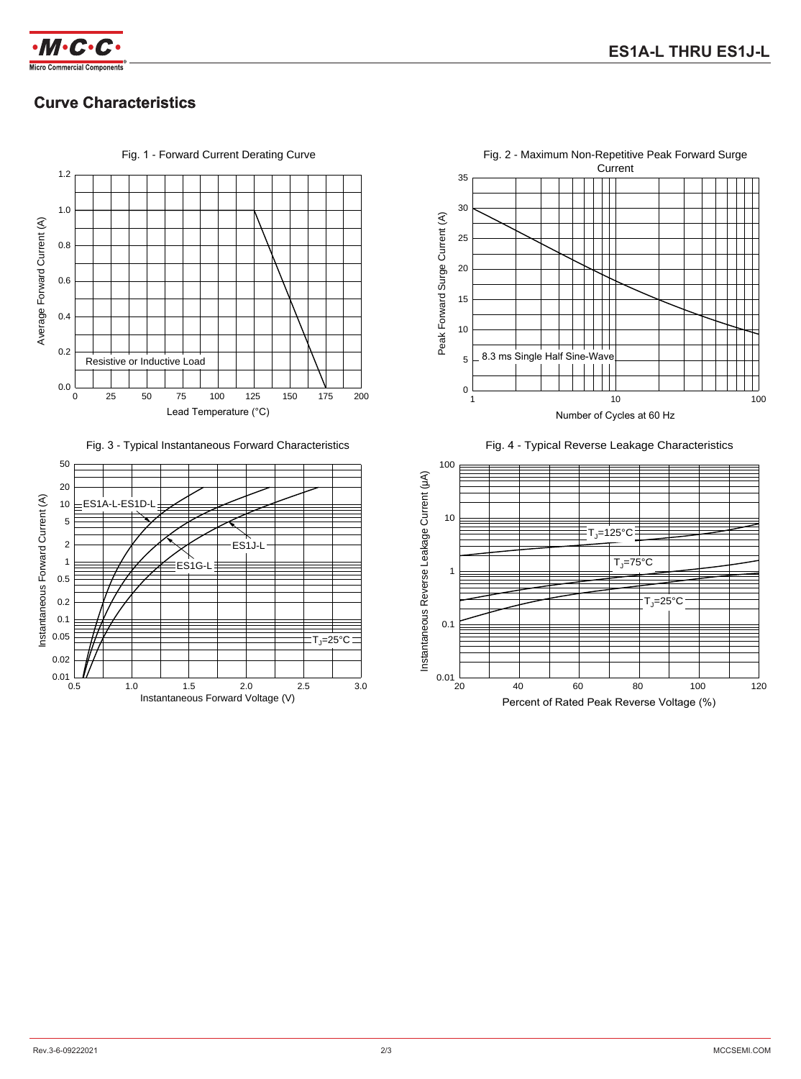

# **Curve Characteristics**